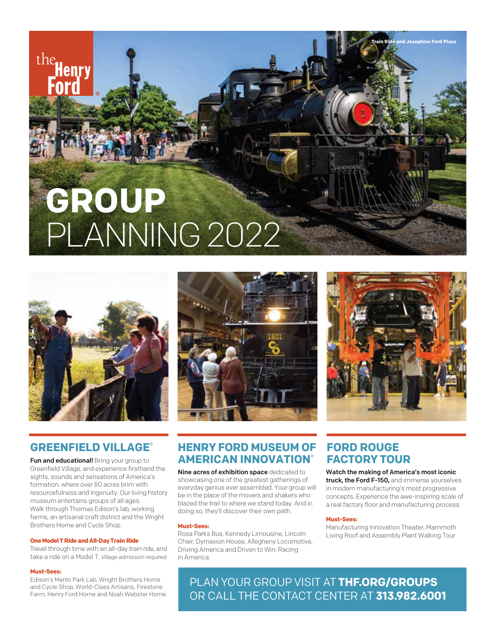# **GROUP** PLANNING2022



# **GREENFIELD VILLAGE®**

Fun and educational! Bring your group to Greenfield Village, and experience firsthand the sights, sounds and sensations of America's formation, where over 80 acres brim with resourcefulness and ingenuity. Our living history museum entertains groups of all ages. Walk through Thomas Edison's lab, working farms, an artisanal craft district and the Wright Brothers Home and Cycle Shop.

### **One Model T Ride and All-Day Train Ride**

Travel through time with an all-day train ride, and take a ride on a Model T. *Village admission required.*

### **Must-Sees:**

the

Edison's Menlo Park Lab, Wright Brothers Home and Cycle Shop, World-Class Artisans, Firestone Farm, Henry Ford Home and Noah Webster Home.





**Train Ride and Josephine Ford Plaza**

# **HENRY FORD MUSEUM OF AMERICAN INNOVATION®**

Nine acres of exhibition space dedicated to showcasing one of the greatest gatherings of everyday genius ever assembled. Your group will be in the place of the movers and shakers who blazed the trail to where we stand today. And in doing so, they'll discover their own path.

### **Must-Sees:**

Rosa Parks Bus, Kennedy Limousine, Lincoln Chair, Dymaxion House, Allegheny Locomotive, Driving America and Driven to Win: Racing in America.

# **FORD ROUGE FACTORY TOUR**

Watch the making of America's most iconic truck, the Ford F-150, and immerse yourselves in modern manufacturing's most progressive concepts. Experience the awe-inspiring scale of a real factory floor and manufacturing process.

### **Must-Sees:**

Manufacturing Innovation Theater, Mammoth Living Roof and Assembly Plant Walking Tour

PLAN YOUR GROUP VISIT AT **THF.ORG/GROUPS** OR CALL THE CONTACT CENTER AT **313.982.6001**